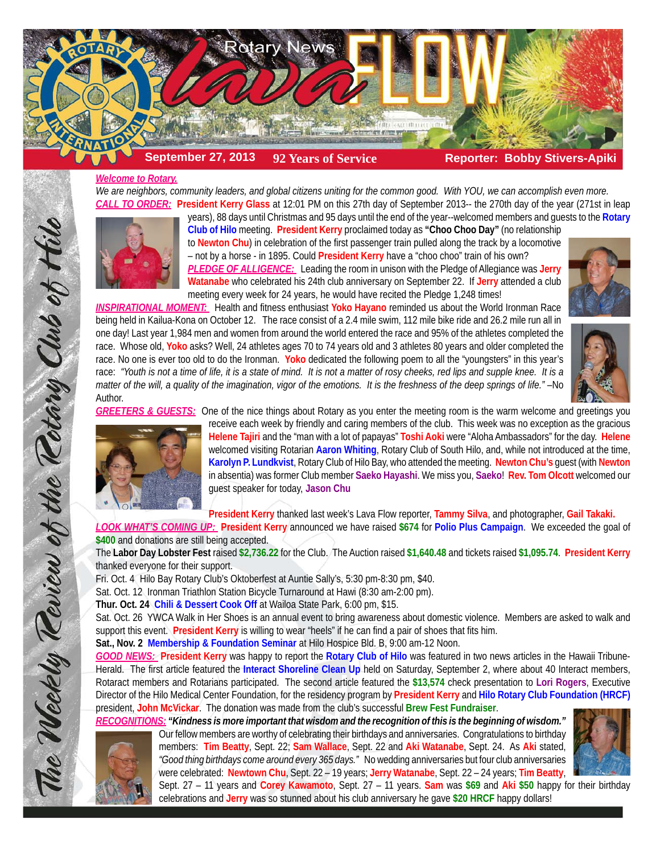

*Welcome to Rotary. We are neighbors, community leaders, and global citizens uniting for the common good. With YOU, we can accomplish even more. CALL TO ORDER:* **President Kerry Glass** at 12:01 PM on this 27th day of September 2013-- the 270th day of the year (271st in leap



**Club of Hilo** meeting. **President Kerry** proclaimed today as **"Choo Choo Day"** (no relationship to **Newton Chu**) in celebration of the first passenger train pulled along the track by a locomotive – not by a horse - in 1895. Could **President Kerry** have a "choo choo" train of his own? *PLEDGE OF ALLIGENCE:* Leading the room in unison with the Pledge of Allegiance was **Jerry Watanabe** who celebrated his 24th club anniversary on September 22. If **Jerry** attended a club meeting every week for 24 years, he would have recited the Pledge 1,248 times!

years), 88 days until Christmas and 95 days until the end of the year--welcomed members and guests to the **Rotary**

*INSPIRATIONAL MOMENT:* Health and fitness enthusiast **Yoko Hayano** reminded us about the World Ironman Race being held in Kailua-Kona on October 12. The race consist of a 2.4 mile swim, 112 mile bike ride and 26.2 mile run all in one day! Last year 1,984 men and women from around the world entered the race and 95% of the athletes completed the race. Whose old, **Yoko** asks? Well, 24 athletes ages 70 to 74 years old and 3 athletes 80 years and older completed the race. No one is ever too old to do the Ironman. **Yoko** dedicated the following poem to all the "youngsters" in this year's race: *"Youth is not a time of life, it is a state of mind. It is not a matter of rosy cheeks, red lips and supple knee. It is a matter of the will, a quality of the imagination, vigor of the emotions. It is the freshness of the deep springs of life."* –No Author.





*GREETERS & GUESTS:* One of the nice things about Rotary as you enter the meeting room is the warm welcome and greetings you



The Weekly Review of the Rotary Club of Hilo

receive each week by friendly and caring members of the club. This week was no exception as the gracious **Helene Tajiri** and the "man with a lot of papayas" **Toshi Aoki** were "Aloha Ambassadors" for the day. **Helene** welcomed visiting Rotarian **Aaron Whiting**, Rotary Club of South Hilo, and, while not introduced at the time, **Karolyn P. Lundkvist**, Rotary Club of Hilo Bay, who attended the meeting. **Newton Chu's** guest (with **Newton** in absentia) was former Club member **Saeko Hayashi**. We miss you, **Saeko**! **Rev. Tom Olcott** welcomed our guest speaker for today, **Jason Chu**

**President Kerry** thanked last week's Lava Flow reporter, **Tammy Silva**, and photographer, **Gail Takaki.**

*LOOK WHAT'S COMING UP:* **President Kerry** announced we have raised **\$674** for **Polio Plus Campaign**. We exceeded the goal of **\$400** and donations are still being accepted.

The **Labor Day Lobster Fest** raised **\$2,736.22** for the Club. The Auction raised **\$1,640.48** and tickets raised **\$1,095.74**. **President Kerry** thanked everyone for their support.

Fri. Oct. 4 Hilo Bay Rotary Club's Oktoberfest at Auntie Sally's, 5:30 pm-8:30 pm, \$40.

Sat. Oct. 12 Ironman Triathlon Station Bicycle Turnaround at Hawi (8:30 am-2:00 pm).

**Thur. Oct. 24 Chili & Dessert Cook Off** at Wailoa State Park, 6:00 pm, \$15.

Sat. Oct. 26 YWCA Walk in Her Shoes is an annual event to bring awareness about domestic violence. Members are asked to walk and support this event. **President Kerry** is willing to wear "heels" if he can find a pair of shoes that fits him.

**Sat., Nov. 2 Membership & Foundation Seminar** at Hilo Hospice Bld. B, 9:00 am-12 Noon.

*GOOD NEWS:* **President Kerry** was happy to report the **Rotary Club of Hilo** was featured in two news articles in the Hawaii Tribune-Herald. The first article featured the **Interact Shoreline Clean Up** held on Saturday, September 2, where about 40 Interact members, Rotaract members and Rotarians participated. The second article featured the **\$13,574** check presentation to **Lori Rogers**, Executive Director of the Hilo Medical Center Foundation, for the residency program by **President Kerry** and **Hilo Rotary Club Foundation (HRCF)** president, **John McVickar**. The donation was made from the club's successful **Brew Fest Fundraiser**.

*RECOGNITIONS: "Kindness is more important that wisdom and the recognition of this is the beginning of wisdom."*

Our fellow members are worthy of celebrating their birthdays and anniversaries. Congratulations to birthday members: **Tim Beatty**, Sept. 22; **Sam Wallace**, Sept. 22 and **Aki Watanabe**, Sept. 24. As **Aki** stated, *"Good thing birthdays come around every 365 days."* No wedding anniversaries but four club anniversaries were celebrated: **Newtown Chu**, Sept. 22 – 19 years; **Jerry Watanabe**, Sept. 22 – 24 years; **Tim Beatty**,



Sept. 27 – 11 years and **Corey Kawamoto**, Sept. 27 – 11 years. **Sam** was **\$69** and **Aki \$50** happy for their birthday celebrations and **Jerry** was so stunned about his club anniversary he gave **\$20 HRCF** happy dollars!